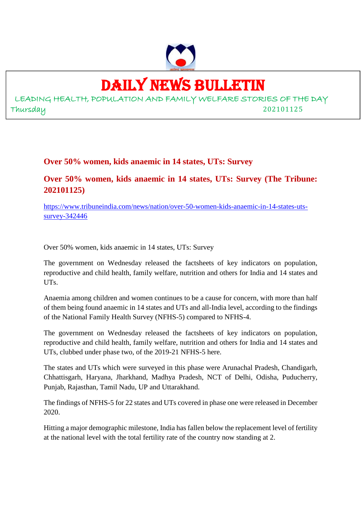

# DAILY NEWS BULLETIN

LEADING HEALTH, POPULATION AND FAMILY WELFARE STORIES OF THE DAY Thursday 202101125

### **Over 50% women, kids anaemic in 14 states, UTs: Survey**

# **Over 50% women, kids anaemic in 14 states, UTs: Survey (The Tribune: 202101125)**

https://www.tribuneindia.com/news/nation/over-50-women-kids-anaemic-in-14-states-utssurvey-342446

Over 50% women, kids anaemic in 14 states, UTs: Survey

The government on Wednesday released the factsheets of key indicators on population, reproductive and child health, family welfare, nutrition and others for India and 14 states and UTs.

Anaemia among children and women continues to be a cause for concern, with more than half of them being found anaemic in 14 states and UTs and all-India level, according to the findings of the National Family Health Survey (NFHS-5) compared to NFHS-4.

The government on Wednesday released the factsheets of key indicators on population, reproductive and child health, family welfare, nutrition and others for India and 14 states and UTs, clubbed under phase two, of the 2019-21 NFHS-5 here.

The states and UTs which were surveyed in this phase were Arunachal Pradesh, Chandigarh, Chhattisgarh, Haryana, Jharkhand, Madhya Pradesh, NCT of Delhi, Odisha, Puducherry, Punjab, Rajasthan, Tamil Nadu, UP and Uttarakhand.

The findings of NFHS-5 for 22 states and UTs covered in phase one were released in December 2020.

Hitting a major demographic milestone, India has fallen below the replacement level of fertility at the national level with the total fertility rate of the country now standing at 2.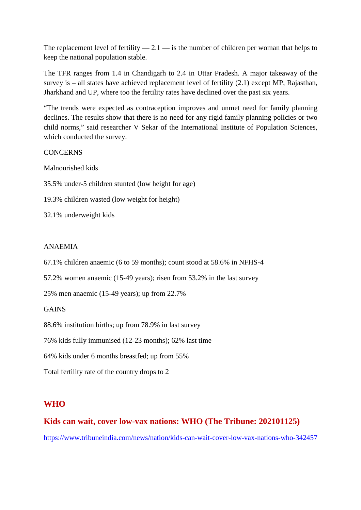The replacement level of fertility  $-2.1$   $-$  is the number of children per woman that helps to keep the national population stable.

The TFR ranges from 1.4 in Chandigarh to 2.4 in Uttar Pradesh. A major takeaway of the survey is – all states have achieved replacement level of fertility (2.1) except MP, Rajasthan, Jharkhand and UP, where too the fertility rates have declined over the past six years.

"The trends were expected as contraception improves and unmet need for family planning declines. The results show that there is no need for any rigid family planning policies or two child norms," said researcher V Sekar of the International Institute of Population Sciences, which conducted the survey.

#### **CONCERNS**

Malnourished kids

35.5% under-5 children stunted (low height for age)

- 19.3% children wasted (low weight for height)
- 32.1% underweight kids

#### ANAEMIA

67.1% children anaemic (6 to 59 months); count stood at 58.6% in NFHS-4

57.2% women anaemic (15-49 years); risen from 53.2% in the last survey

25% men anaemic (15-49 years); up from 22.7%

#### GAINS

88.6% institution births; up from 78.9% in last survey

76% kids fully immunised (12-23 months); 62% last time

64% kids under 6 months breastfed; up from 55%

Total fertility rate of the country drops to 2

#### **WHO**

#### **Kids can wait, cover low-vax nations: WHO (The Tribune: 202101125)**

https://www.tribuneindia.com/news/nation/kids-can-wait-cover-low-vax-nations-who-342457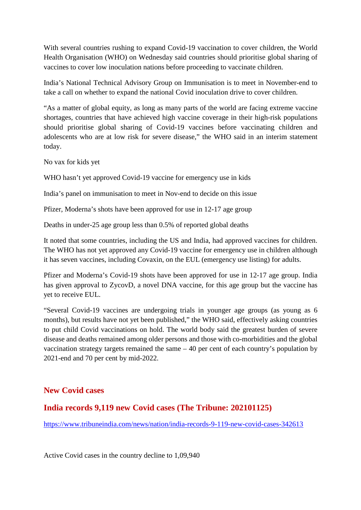With several countries rushing to expand Covid-19 vaccination to cover children, the World Health Organisation (WHO) on Wednesday said countries should prioritise global sharing of vaccines to cover low inoculation nations before proceeding to vaccinate children.

India's National Technical Advisory Group on Immunisation is to meet in November-end to take a call on whether to expand the national Covid inoculation drive to cover children.

"As a matter of global equity, as long as many parts of the world are facing extreme vaccine shortages, countries that have achieved high vaccine coverage in their high-risk populations should prioritise global sharing of Covid-19 vaccines before vaccinating children and adolescents who are at low risk for severe disease," the WHO said in an interim statement today.

No vax for kids yet

WHO hasn't yet approved Covid-19 vaccine for emergency use in kids

India's panel on immunisation to meet in Nov-end to decide on this issue

Pfizer, Moderna's shots have been approved for use in 12-17 age group

Deaths in under-25 age group less than 0.5% of reported global deaths

It noted that some countries, including the US and India, had approved vaccines for children. The WHO has not yet approved any Covid-19 vaccine for emergency use in children although it has seven vaccines, including Covaxin, on the EUL (emergency use listing) for adults.

Pfizer and Moderna's Covid-19 shots have been approved for use in 12-17 age group. India has given approval to ZycovD, a novel DNA vaccine, for this age group but the vaccine has yet to receive EUL.

"Several Covid-19 vaccines are undergoing trials in younger age groups (as young as 6 months), but results have not yet been published," the WHO said, effectively asking countries to put child Covid vaccinations on hold. The world body said the greatest burden of severe disease and deaths remained among older persons and those with co-morbidities and the global vaccination strategy targets remained the same – 40 per cent of each country's population by 2021-end and 70 per cent by mid-2022.

#### **New Covid cases**

#### **India records 9,119 new Covid cases (The Tribune: 202101125)**

https://www.tribuneindia.com/news/nation/india-records-9-119-new-covid-cases-342613

Active Covid cases in the country decline to 1,09,940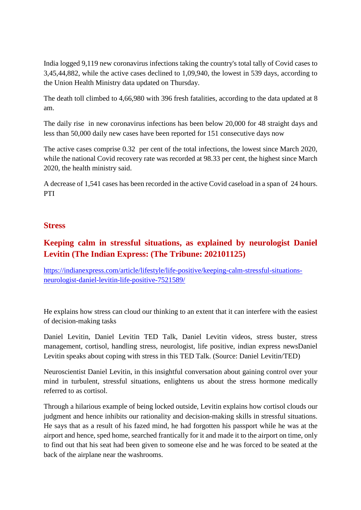India logged 9,119 new coronavirus infections taking the country's total tally of Covid cases to 3,45,44,882, while the active cases declined to 1,09,940, the lowest in 539 days, according to the Union Health Ministry data updated on Thursday.

The death toll climbed to 4,66,980 with 396 fresh fatalities, according to the data updated at 8 am.

The daily rise in new coronavirus infections has been below 20,000 for 48 straight days and less than 50,000 daily new cases have been reported for 151 consecutive days now

The active cases comprise 0.32 per cent of the total infections, the lowest since March 2020, while the national Covid recovery rate was recorded at 98.33 per cent, the highest since March 2020, the health ministry said.

A decrease of 1,541 cases has been recorded in the active Covid caseload in a span of 24 hours. PTI

#### **Stress**

# **Keeping calm in stressful situations, as explained by neurologist Daniel Levitin (The Indian Express: (The Tribune: 202101125)**

https://indianexpress.com/article/lifestyle/life-positive/keeping-calm-stressful-situationsneurologist-daniel-levitin-life-positive-7521589/

He explains how stress can cloud our thinking to an extent that it can interfere with the easiest of decision-making tasks

Daniel Levitin, Daniel Levitin TED Talk, Daniel Levitin videos, stress buster, stress management, cortisol, handling stress, neurologist, life positive, indian express newsDaniel Levitin speaks about coping with stress in this TED Talk. (Source: Daniel Levitin/TED)

Neuroscientist Daniel Levitin, in this insightful conversation about gaining control over your mind in turbulent, stressful situations, enlightens us about the stress hormone medically referred to as cortisol.

Through a hilarious example of being locked outside, Levitin explains how cortisol clouds our judgment and hence inhibits our rationality and decision-making skills in stressful situations. He says that as a result of his fazed mind, he had forgotten his passport while he was at the airport and hence, sped home, searched frantically for it and made it to the airport on time, only to find out that his seat had been given to someone else and he was forced to be seated at the back of the airplane near the washrooms.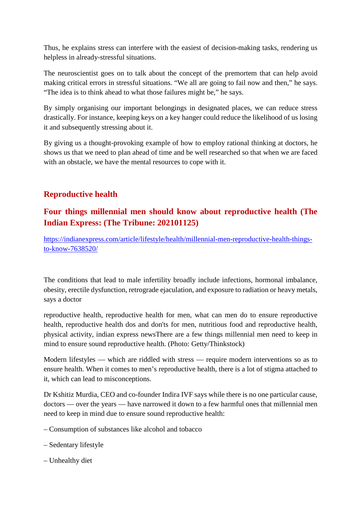Thus, he explains stress can interfere with the easiest of decision-making tasks, rendering us helpless in already-stressful situations.

The neuroscientist goes on to talk about the concept of the premortem that can help avoid making critical errors in stressful situations. "We all are going to fail now and then," he says. "The idea is to think ahead to what those failures might be," he says.

By simply organising our important belongings in designated places, we can reduce stress drastically. For instance, keeping keys on a key hanger could reduce the likelihood of us losing it and subsequently stressing about it.

By giving us a thought-provoking example of how to employ rational thinking at doctors, he shows us that we need to plan ahead of time and be well researched so that when we are faced with an obstacle, we have the mental resources to cope with it.

# **Reproductive health**

# **Four things millennial men should know about reproductive health (The Indian Express: (The Tribune: 202101125)**

https://indianexpress.com/article/lifestyle/health/millennial-men-reproductive-health-thingsto-know-7638520/

The conditions that lead to male infertility broadly include infections, hormonal imbalance, obesity, erectile dysfunction, retrograde ejaculation, and exposure to radiation or heavy metals, says a doctor

reproductive health, reproductive health for men, what can men do to ensure reproductive health, reproductive health dos and don'ts for men, nutritious food and reproductive health, physical activity, indian express newsThere are a few things millennial men need to keep in mind to ensure sound reproductive health. (Photo: Getty/Thinkstock)

Modern lifestyles — which are riddled with stress — require modern interventions so as to ensure health. When it comes to men's reproductive health, there is a lot of stigma attached to it, which can lead to misconceptions.

Dr Kshitiz Murdia, CEO and co-founder Indira IVF says while there is no one particular cause, doctors — over the years — have narrowed it down to a few harmful ones that millennial men need to keep in mind due to ensure sound reproductive health:

- Consumption of substances like alcohol and tobacco
- Sedentary lifestyle
- Unhealthy diet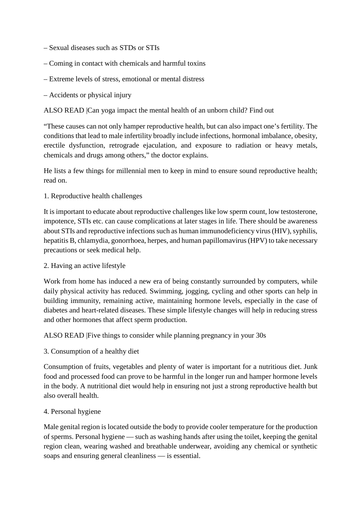- Sexual diseases such as STDs or STIs
- Coming in contact with chemicals and harmful toxins
- Extreme levels of stress, emotional or mental distress
- Accidents or physical injury

ALSO READ |Can yoga impact the mental health of an unborn child? Find out

"These causes can not only hamper reproductive health, but can also impact one's fertility. The conditions that lead to male infertility broadly include infections, hormonal imbalance, obesity, erectile dysfunction, retrograde ejaculation, and exposure to radiation or heavy metals, chemicals and drugs among others," the doctor explains.

He lists a few things for millennial men to keep in mind to ensure sound reproductive health; read on.

1. Reproductive health challenges

It is important to educate about reproductive challenges like low sperm count, low testosterone, impotence, STIs etc. can cause complications at later stages in life. There should be awareness about STIs and reproductive infections such as human immunodeficiency virus (HIV), syphilis, hepatitis B, chlamydia, gonorrhoea, herpes, and human papillomavirus (HPV) to take necessary precautions or seek medical help.

#### 2. Having an active lifestyle

Work from home has induced a new era of being constantly surrounded by computers, while daily physical activity has reduced. Swimming, jogging, cycling and other sports can help in building immunity, remaining active, maintaining hormone levels, especially in the case of diabetes and heart-related diseases. These simple lifestyle changes will help in reducing stress and other hormones that affect sperm production.

ALSO READ |Five things to consider while planning pregnancy in your 30s

3. Consumption of a healthy diet

Consumption of fruits, vegetables and plenty of water is important for a nutritious diet. Junk food and processed food can prove to be harmful in the longer run and hamper hormone levels in the body. A nutritional diet would help in ensuring not just a strong reproductive health but also overall health.

#### 4. Personal hygiene

Male genital region is located outside the body to provide cooler temperature for the production of sperms. Personal hygiene — such as washing hands after using the toilet, keeping the genital region clean, wearing washed and breathable underwear, avoiding any chemical or synthetic soaps and ensuring general cleanliness — is essential.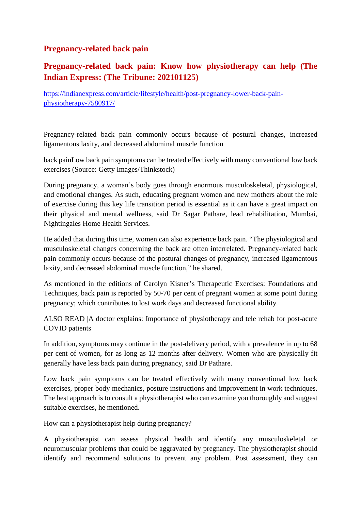# **Pregnancy-related back pain**

# **Pregnancy-related back pain: Know how physiotherapy can help (The Indian Express: (The Tribune: 202101125)**

https://indianexpress.com/article/lifestyle/health/post-pregnancy-lower-back-painphysiotherapy-7580917/

Pregnancy-related back pain commonly occurs because of postural changes, increased ligamentous laxity, and decreased abdominal muscle function

back painLow back pain symptoms can be treated effectively with many conventional low back exercises (Source: Getty Images/Thinkstock)

During pregnancy, a woman's body goes through enormous musculoskeletal, physiological, and emotional changes. As such, educating pregnant women and new mothers about the role of exercise during this key life transition period is essential as it can have a great impact on their physical and mental wellness, said Dr Sagar Pathare, lead rehabilitation, Mumbai, Nightingales Home Health Services.

He added that during this time, women can also experience back pain. "The physiological and musculoskeletal changes concerning the back are often interrelated. Pregnancy-related back pain commonly occurs because of the postural changes of pregnancy, increased ligamentous laxity, and decreased abdominal muscle function," he shared.

As mentioned in the editions of Carolyn Kisner's Therapeutic Exercises: Foundations and Techniques, back pain is reported by 50-70 per cent of pregnant women at some point during pregnancy; which contributes to lost work days and decreased functional ability.

ALSO READ |A doctor explains: Importance of physiotherapy and tele rehab for post-acute COVID patients

In addition, symptoms may continue in the post-delivery period, with a prevalence in up to 68 per cent of women, for as long as 12 months after delivery. Women who are physically fit generally have less back pain during pregnancy, said Dr Pathare.

Low back pain symptoms can be treated effectively with many conventional low back exercises, proper body mechanics, posture instructions and improvement in work techniques. The best approach is to consult a physiotherapist who can examine you thoroughly and suggest suitable exercises, he mentioned.

How can a physiotherapist help during pregnancy?

A physiotherapist can assess physical health and identify any musculoskeletal or neuromuscular problems that could be aggravated by pregnancy. The physiotherapist should identify and recommend solutions to prevent any problem. Post assessment, they can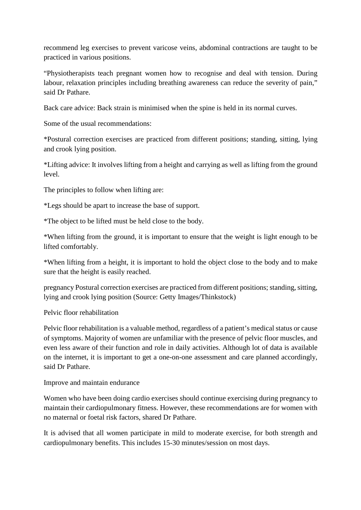recommend leg exercises to prevent varicose veins, abdominal contractions are taught to be practiced in various positions.

"Physiotherapists teach pregnant women how to recognise and deal with tension. During labour, relaxation principles including breathing awareness can reduce the severity of pain," said Dr Pathare.

Back care advice: Back strain is minimised when the spine is held in its normal curves.

Some of the usual recommendations:

\*Postural correction exercises are practiced from different positions; standing, sitting, lying and crook lying position.

\*Lifting advice: It involves lifting from a height and carrying as well as lifting from the ground level.

The principles to follow when lifting are:

\*Legs should be apart to increase the base of support.

\*The object to be lifted must be held close to the body.

\*When lifting from the ground, it is important to ensure that the weight is light enough to be lifted comfortably.

\*When lifting from a height, it is important to hold the object close to the body and to make sure that the height is easily reached.

pregnancy Postural correction exercises are practiced from different positions; standing, sitting, lying and crook lying position (Source: Getty Images/Thinkstock)

Pelvic floor rehabilitation

Pelvic floor rehabilitation is a valuable method, regardless of a patient's medical status or cause of symptoms. Majority of women are unfamiliar with the presence of pelvic floor muscles, and even less aware of their function and role in daily activities. Although lot of data is available on the internet, it is important to get a one-on-one assessment and care planned accordingly, said Dr Pathare.

Improve and maintain endurance

Women who have been doing cardio exercises should continue exercising during pregnancy to maintain their cardiopulmonary fitness. However, these recommendations are for women with no maternal or foetal risk factors, shared Dr Pathare.

It is advised that all women participate in mild to moderate exercise, for both strength and cardiopulmonary benefits. This includes 15-30 minutes/session on most days.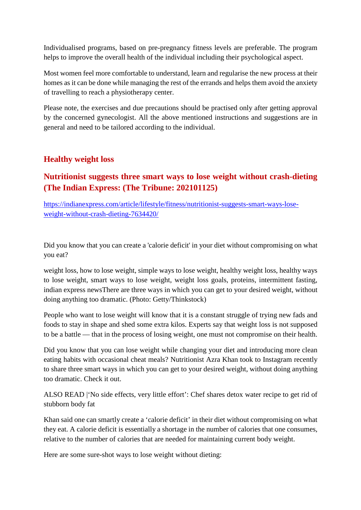Individualised programs, based on pre-pregnancy fitness levels are preferable. The program helps to improve the overall health of the individual including their psychological aspect.

Most women feel more comfortable to understand, learn and regularise the new process at their homes as it can be done while managing the rest of the errands and helps them avoid the anxiety of travelling to reach a physiotherapy center.

Please note, the exercises and due precautions should be practised only after getting approval by the concerned gynecologist. All the above mentioned instructions and suggestions are in general and need to be tailored according to the individual.

## **Healthy weight loss**

# **Nutritionist suggests three smart ways to lose weight without crash-dieting (The Indian Express: (The Tribune: 202101125)**

https://indianexpress.com/article/lifestyle/fitness/nutritionist-suggests-smart-ways-loseweight-without-crash-dieting-7634420/

Did you know that you can create a 'calorie deficit' in your diet without compromising on what you eat?

weight loss, how to lose weight, simple ways to lose weight, healthy weight loss, healthy ways to lose weight, smart ways to lose weight, weight loss goals, proteins, intermittent fasting, indian express newsThere are three ways in which you can get to your desired weight, without doing anything too dramatic. (Photo: Getty/Thinkstock)

People who want to lose weight will know that it is a constant struggle of trying new fads and foods to stay in shape and shed some extra kilos. Experts say that weight loss is not supposed to be a battle — that in the process of losing weight, one must not compromise on their health.

Did you know that you can lose weight while changing your diet and introducing more clean eating habits with occasional cheat meals? Nutritionist Azra Khan took to Instagram recently to share three smart ways in which you can get to your desired weight, without doing anything too dramatic. Check it out.

ALSO READ |'No side effects, very little effort': Chef shares detox water recipe to get rid of stubborn body fat

Khan said one can smartly create a 'calorie deficit' in their diet without compromising on what they eat. A calorie deficit is essentially a shortage in the number of calories that one consumes, relative to the number of calories that are needed for maintaining current body weight.

Here are some sure-shot ways to lose weight without dieting: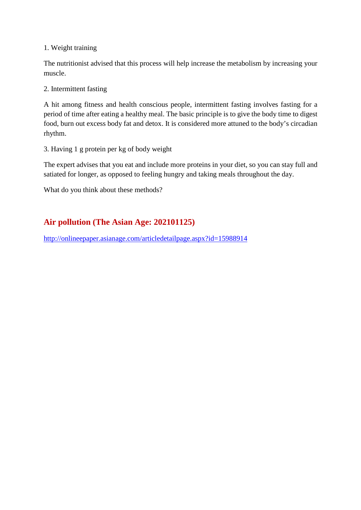#### 1. Weight training

The nutritionist advised that this process will help increase the metabolism by increasing your muscle.

#### 2. Intermittent fasting

A hit among fitness and health conscious people, intermittent fasting involves fasting for a period of time after eating a healthy meal. The basic principle is to give the body time to digest food, burn out excess body fat and detox. It is considered more attuned to the body's circadian rhythm.

3. Having 1 g protein per kg of body weight

The expert advises that you eat and include more proteins in your diet, so you can stay full and satiated for longer, as opposed to feeling hungry and taking meals throughout the day.

What do you think about these methods?

# **Air pollution (The Asian Age: 202101125)**

http://onlineepaper.asianage.com/articledetailpage.aspx?id=15988914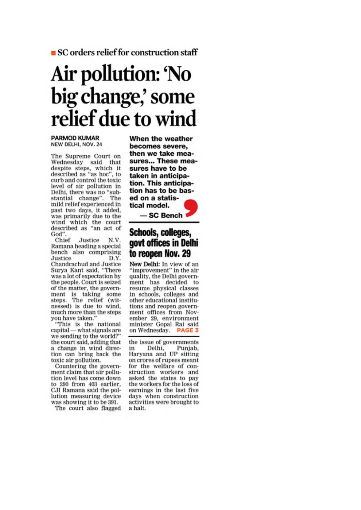SC orders relief for construction staff

# Air pollution: 'No big change,' some relief due to wind

#### **PARMOD KUMAR** NEW DELHI, NOV. 24

The Supreme Court on Wednesday said that despite steps, which it described as "as hoc", to curb and control the toxic level of air pollution in Delhi. there was no "substantial change". The mild relief experienced in past two days, it added, was primarily due to the wind which the court described as "an act of God"

Chief Justice N.V. Ramana heading a special bench also comprising Justice D.Y. Chandrachud and Justice Surva Kant said, "There was a lot of expectation by the people. Court is seized of the matter, the government is taking some<br>steps. The relief (witnessed) is due to wind, much more than the steps you have taken."

"This is the national capital - what signals are we sending to the world?" the court said, adding that a change in wind direction can bring back the toxic air pollution.

Countering the government claim that air pollution level has come down to 290 from 403 earlier. CJI Ramana said the pollution measuring device was showing it to be 391.

The court also flagged

When the weather becomes severe. then we take measures... These measures have to be taken in anticipation. This anticipation has to be based on a statistical model.



# Schools, colleges, govt offices in Delhi to reopen Nov. 29

New Delhi: In view of an "improvement" in the air quality, the Delhi government has decided to resume physical classes in schools, colleges and other educational institutions and reopen government offices from November 29, environment minister Gopal Rai said on Wednesday. PAGE 3

the issue of governments Delhi, in Punjab, Haryana and UP sitting on crores of rupees meant for the welfare of construction workers and asked the states to pay the workers for the loss of earnings in the last five days when construction activities were brought to a halt.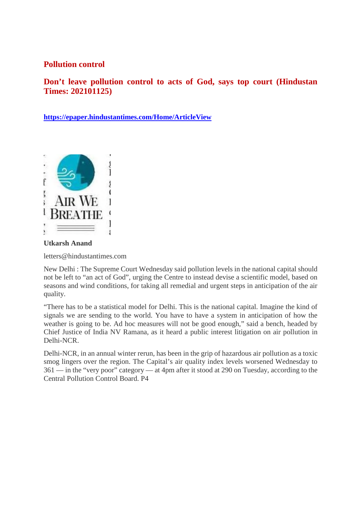### **Pollution control**

**Don't leave pollution control to acts of God, says top court (Hindustan Times: 202101125)**

**https://epaper.hindustantimes.com/Home/ArticleView**



**Utkarsh Anand**

letters@hindustantimes.com

New Delhi : The Supreme Court Wednesday said pollution levels in the national capital should not be left to "an act of God", urging the Centre to instead devise a scientific model, based on seasons and wind conditions, for taking all remedial and urgent steps in anticipation of the air quality.

"There has to be a statistical model for Delhi. This is the national capital. Imagine the kind of signals we are sending to the world. You have to have a system in anticipation of how the weather is going to be. Ad hoc measures will not be good enough," said a bench, headed by Chief Justice of India NV Ramana, as it heard a public interest litigation on air pollution in Delhi-NCR.

Delhi-NCR, in an annual winter rerun, has been in the grip of hazardous air pollution as a toxic smog lingers over the region. The Capital's air quality index levels worsened Wednesday to 361 — in the "very poor" category — at 4pm after it stood at 290 on Tuesday, according to the Central Pollution Control Board. P4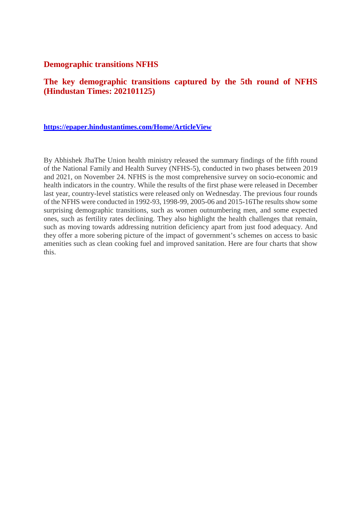#### **Demographic transitions NFHS**

### **The key demographic transitions captured by the 5th round of NFHS (Hindustan Times: 202101125)**

#### **https://epaper.hindustantimes.com/Home/ArticleView**

By Abhishek JhaThe Union health ministry released the summary findings of the fifth round of the National Family and Health Survey (NFHS-5), conducted in two phases between 2019 and 2021, on November 24. NFHS is the most comprehensive survey on socio-economic and health indicators in the country. While the results of the first phase were released in December last year, country-level statistics were released only on Wednesday. The previous four rounds of the NFHS were conducted in 1992-93, 1998-99, 2005-06 and 2015-16The results show some surprising demographic transitions, such as women outnumbering men, and some expected ones, such as fertility rates declining. They also highlight the health challenges that remain, such as moving towards addressing nutrition deficiency apart from just food adequacy. And they offer a more sobering picture of the impact of government's schemes on access to basic amenities such as clean cooking fuel and improved sanitation. Here are four charts that show this.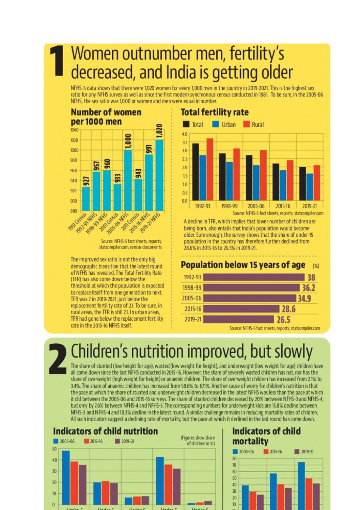# Women outnumber men, fertility's decreased, and India is getting older

NFHS-5 data shows that there were 1,020 women for every 1,000 men in the country in 2019-2021. This is the highest sex ratio for any NFHS survey as well as since the first modern synchronous census conducted in 1881. To be sure, in the 2005-06 NFHS, the sex ratio was 1,000 or women and men were equal in number.



Source: NFHS-5 fact sheets, reports, statcompiler.com, census documents

The improved sex ratio is not the only big demographic transition that the latest round of NFHS has revealed. The Total Fertility Rate (TFR) has also come down below the threshold at which the population is expected to replace itself from one generation to next. TFR was 2 in 2019-2021, just below the replacement fertility rate of 2.1. To be sure, in rural areas, the TFR is still 2.1. In urban areas, TFR had gone below the replacement fertility rate in the 2015-16 NFHS itself.



A decline in TFR, which implies that lower number of children are being born, also entails that India's population would become older. Sure enough, the survey shows that the share of under-15 population in the country has therefore further declined from 28.6% in 2015-16 to 26.5% in 2019-21.





# Children's nutrition improved, but slowly

The share of stunted (low height for age), wasted (low weight for height), and underweight (low weight for age) children have all come down since the last NFHS conducted in 2015-16. However, the share of severely wasted children has not, nor has the share of overweight (high weight for height) or anaemic children. The share of overweight children has increased from 2.1% to 3.4%. The share of anaemic children has increased from 58.6% to 67.1%. Another cause of worry for children's nutrition is that the pace at which the share of stunted and underweight children decreased in the latest NFHS was less than the pace at which it did between the 2005-06 and 2015-16 surveys. The share of stunted children decreased by 20% between NFHS-3 and NFHS-4, but only by 7.6% between NFHS-4 and NFHS-5. The corresponding numbers for underweight kids are 15.8% decline between NFHS-3 and NFHS-4 and 10.3% decline in the latest round. A similar challenge remains in reducing mortality rates of children. All such indicators suggest a declining rate of mortality, but the pace at which it declined in the last round has come down.



# **Indicators of child** mortality

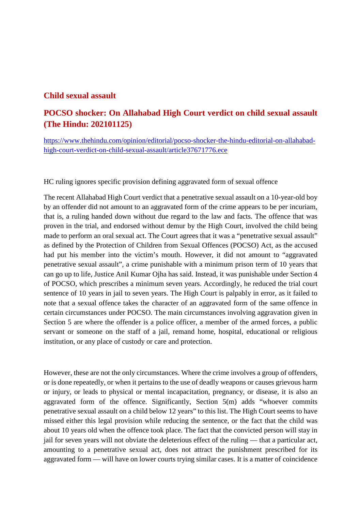#### **Child sexual assault**

# **POCSO shocker: On Allahabad High Court verdict on child sexual assault (The Hindu: 202101125)**

https://www.thehindu.com/opinion/editorial/pocso-shocker-the-hindu-editorial-on-allahabadhigh-court-verdict-on-child-sexual-assault/article37671776.ece

HC ruling ignores specific provision defining aggravated form of sexual offence

The recent Allahabad High Court verdict that a penetrative sexual assault on a 10-year-old boy by an offender did not amount to an aggravated form of the crime appears to be per incuriam, that is, a ruling handed down without due regard to the law and facts. The offence that was proven in the trial, and endorsed without demur by the High Court, involved the child being made to perform an oral sexual act. The Court agrees that it was a "penetrative sexual assault" as defined by the Protection of Children from Sexual Offences (POCSO) Act, as the accused had put his member into the victim's mouth. However, it did not amount to "aggravated penetrative sexual assault", a crime punishable with a minimum prison term of 10 years that can go up to life, Justice Anil Kumar Ojha has said. Instead, it was punishable under Section 4 of POCSO, which prescribes a minimum seven years. Accordingly, he reduced the trial court sentence of 10 years in jail to seven years. The High Court is palpably in error, as it failed to note that a sexual offence takes the character of an aggravated form of the same offence in certain circumstances under POCSO. The main circumstances involving aggravation given in Section 5 are where the offender is a police officer, a member of the armed forces, a public servant or someone on the staff of a jail, remand home, hospital, educational or religious institution, or any place of custody or care and protection.

However, these are not the only circumstances. Where the crime involves a group of offenders, or is done repeatedly, or when it pertains to the use of deadly weapons or causes grievous harm or injury, or leads to physical or mental incapacitation, pregnancy, or disease, it is also an aggravated form of the offence. Significantly, Section 5(m) adds "whoever commits penetrative sexual assault on a child below 12 years" to this list. The High Court seems to have missed either this legal provision while reducing the sentence, or the fact that the child was about 10 years old when the offence took place. The fact that the convicted person will stay in jail for seven years will not obviate the deleterious effect of the ruling — that a particular act, amounting to a penetrative sexual act, does not attract the punishment prescribed for its aggravated form — will have on lower courts trying similar cases. It is a matter of coincidence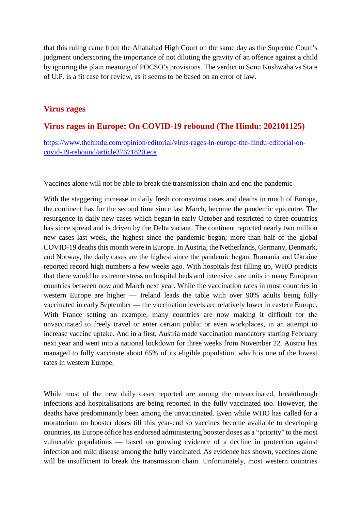that this ruling came from the Allahabad High Court on the same day as the Supreme Court's judgment underscoring the importance of not diluting the gravity of an offence against a child by ignoring the plain meaning of POCSO's provisions. The verdict in Sonu Kushwaha vs State of U.P. is a fit case for review, as it seems to be based on an error of law.

#### **Virus rages**

#### **Virus rages in Europe: On COVID-19 rebound (The Hindu: 202101125)**

https://www.thehindu.com/opinion/editorial/virus-rages-in-europe-the-hindu-editorial-oncovid-19-rebound/article37671820.ece

Vaccines alone will not be able to break the transmission chain and end the pandemic

With the staggering increase in daily fresh coronavirus cases and deaths in much of Europe, the continent has for the second time since last March, become the pandemic epicentre. The resurgence in daily new cases which began in early October and restricted to three countries has since spread and is driven by the Delta variant. The continent reported nearly two million new cases last week, the highest since the pandemic began; more than half of the global COVID-19 deaths this month were in Europe. In Austria, the Netherlands, Germany, Denmark, and Norway, the daily cases are the highest since the pandemic began; Romania and Ukraine reported record high numbers a few weeks ago. With hospitals fast filling up, WHO predicts that there would be extreme stress on hospital beds and intensive care units in many European countries between now and March next year. While the vaccination rates in most countries in western Europe are higher — Ireland leads the table with over 90% adults being fully vaccinated in early September — the vaccination levels are relatively lower in eastern Europe. With France setting an example, many countries are now making it difficult for the unvaccinated to freely travel or enter certain public or even workplaces, in an attempt to increase vaccine uptake. And in a first, Austria made vaccination mandatory starting February next year and went into a national lockdown for three weeks from November 22. Austria has managed to fully vaccinate about 65% of its eligible population, which is one of the lowest rates in western Europe.

While most of the new daily cases reported are among the unvaccinated, breakthrough infections and hospitalisations are being reported in the fully vaccinated too. However, the deaths have predominantly been among the unvaccinated. Even while WHO has called for a moratorium on booster doses till this year-end so vaccines become available to developing countries, its Europe office has endorsed administering booster doses as a "priority" to the most vulnerable populations — based on growing evidence of a decline in protection against infection and mild disease among the fully vaccinated. As evidence has shown, vaccines alone will be insufficient to break the transmission chain. Unfortunately, most western countries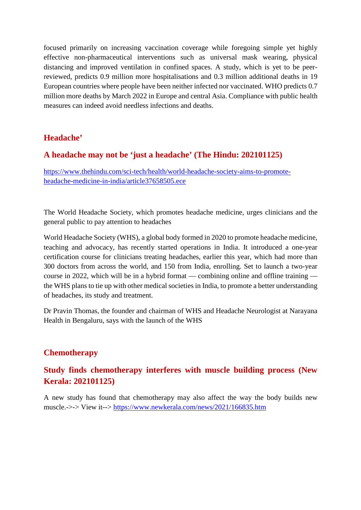focused primarily on increasing vaccination coverage while foregoing simple yet highly effective non-pharmaceutical interventions such as universal mask wearing, physical distancing and improved ventilation in confined spaces. A study, which is yet to be peerreviewed, predicts 0.9 million more hospitalisations and 0.3 million additional deaths in 19 European countries where people have been neither infected nor vaccinated. WHO predicts 0.7 million more deaths by March 2022 in Europe and central Asia. Compliance with public health measures can indeed avoid needless infections and deaths.

## **Headache'**

#### **A headache may not be 'just a headache' (The Hindu: 202101125)**

https://www.thehindu.com/sci-tech/health/world-headache-society-aims-to-promoteheadache-medicine-in-india/article37658505.ece

The World Headache Society, which promotes headache medicine, urges clinicians and the general public to pay attention to headaches

World Headache Society (WHS), a global body formed in 2020 to promote headache medicine, teaching and advocacy, has recently started operations in India. It introduced a one-year certification course for clinicians treating headaches, earlier this year, which had more than 300 doctors from across the world, and 150 from India, enrolling. Set to launch a two-year course in 2022, which will be in a hybrid format — combining online and offline training the WHS plans to tie up with other medical societies in India, to promote a better understanding of headaches, its study and treatment.

Dr Pravin Thomas, the founder and chairman of WHS and Headache Neurologist at Narayana Health in Bengaluru, says with the launch of the WHS

### **Chemotherapy**

# **Study finds chemotherapy interferes with muscle building process (New Kerala: 202101125)**

A new study has found that chemotherapy may also affect the way the body builds new muscle.->-> View it--> https://www.newkerala.com/news/2021/166835.htm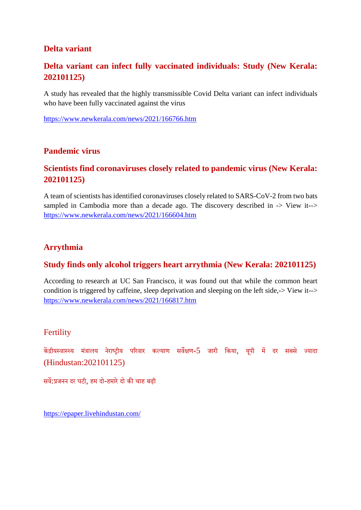# **Delta variant**

# **Delta variant can infect fully vaccinated individuals: Study (New Kerala: 202101125)**

A study has revealed that the highly transmissible Covid Delta variant can infect individuals who have been fully vaccinated against the virus

https://www.newkerala.com/news/2021/166766.htm

#### **Pandemic virus**

## **Scientists find coronaviruses closely related to pandemic virus (New Kerala: 202101125)**

A team of scientists has identified coronaviruses closely related to SARS-CoV-2 from two bats sampled in Cambodia more than a decade ago. The discovery described in -> View it--> https://www.newkerala.com/news/2021/166604.htm

#### **Arrythmia**

#### **Study finds only alcohol triggers heart arrythmia (New Kerala: 202101125)**

According to research at UC San Francisco, it was found out that while the common heart condition is triggered by caffeine, sleep deprivation and sleeping on the left side,-> View it--> https://www.newkerala.com/news/2021/166817.htm

#### **Fertility**

केंद्रीयस्वास्थ्य मंत्रालय नेराष्ट्रीय परिवार कल्याण सर्वेक्षण-5 जारी किया, यूपी में दर सबसे ज्यादा (Hindustan:202101125)

सर्वे:प्रजनन दर घटी, हम दो-हमारे दो की चाह बढ़ी

https://epaper.livehindustan.com/